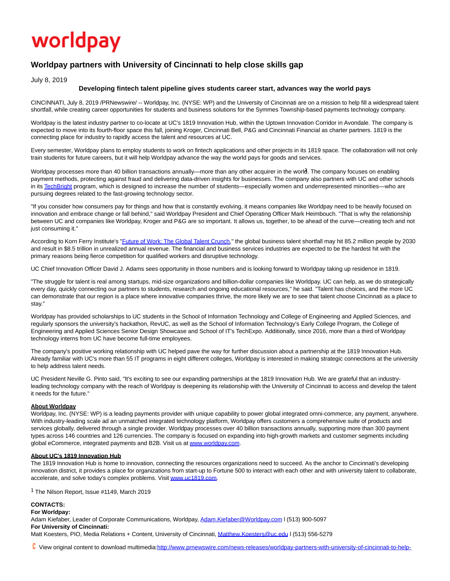# worldpay

## **Worldpay partners with University of Cincinnati to help close skills gap**

July 8, 2019

#### **Developing fintech talent pipeline gives students career start, advances way the world pays**

CINCINNATI, July 8, 2019 /PRNewswire/ -- Worldpay, Inc. (NYSE: WP) and the University of Cincinnati are on a mission to help fill a widespread talent shortfall, while creating career opportunities for students and business solutions for the Symmes Township-based payments technology company.

Worldpay is the latest industry partner to co-locate at UC's 1819 Innovation Hub, within the Uptown Innovation Corridor in Avondale. The company is expected to move into its fourth-floor space this fall, joining Kroger, Cincinnati Bell, P&G and Cincinnati Financial as charter partners. 1819 is the connecting place for industry to rapidly access the talent and resources at UC.

Every semester, Worldpay plans to employ students to work on fintech applications and other projects in its 1819 space. The collaboration will not only train students for future careers, but it will help Worldpay advance the way the world pays for goods and services.

Worldpay processes more than 40 billion transactions annually—more than any other acquirer in the world. The company focuses on enabling payment methods, protecting against fraud and delivering data-driven insights for businesses. The company also partners with UC and other schools in it[s TechBright p](https://c212.net/c/link/?t=0&l=en&o=2517836-1&h=1057145620&u=https%3A%2F%2Fwww.vantiv.com%2Fabout%2Fcorporate-responsibility%2Ftechbright&a=TechBright)rogram, which is designed to increase the number of students—especially women and underrepresented minorities—who are pursuing degrees related to the fast-growing technology sector.

"If you consider how consumers pay for things and how that is constantly evolving, it means companies like Worldpay need to be heavily focused on innovation and embrace change or fall behind," said Worldpay President and Chief Operating Officer Mark Heimbouch. "That is why the relationship between UC and companies like Worldpay, Kroger and P&G are so important. It allows us, together, to be ahead of the curve—creating tech and not just consuming it."

According to Korn Ferry Institute's ["Future of Work: The Global Talent Crunch,"](https://c212.net/c/link/?t=0&l=en&o=2517836-1&h=2847803232&u=https%3A%2F%2Fwww.kornferry.com%2Finstitute%2Ftalent-crunch-future-of-work&a=Future+of+Work%3A+The+Global+Talent+Crunch) the global business talent shortfall may hit 85.2 million people by 2030 and result in \$8.5 trillion in unrealized annual revenue. The financial and business services industries are expected to be the hardest hit with the primary reasons being fierce competition for qualified workers and disruptive technology.

UC Chief Innovation Officer David J. Adams sees opportunity in those numbers and is looking forward to Worldpay taking up residence in 1819.

"The struggle for talent is real among startups, mid-size organizations and billion-dollar companies like Worldpay. UC can help, as we do strategically every day, quickly connecting our partners to students, research and ongoing educational resources," he said. "Talent has choices, and the more UC can demonstrate that our region is a place where innovative companies thrive, the more likely we are to see that talent choose Cincinnati as a place to stay."

Worldpay has provided scholarships to UC students in the School of Information Technology and College of Engineering and Applied Sciences, and regularly sponsors the university's hackathon, RevUC, as well as the School of Information Technology's Early College Program, the College of Engineering and Applied Sciences Senior Design Showcase and School of IT's TechExpo. Additionally, since 2016, more than a third of Worldpay technology interns from UC have become full-time employees.

The company's positive working relationship with UC helped pave the way for further discussion about a partnership at the 1819 Innovation Hub. Already familiar with UC's more than 55 IT programs in eight different colleges, Worldpay is interested in making strategic connections at the university to help address talent needs.

UC President Neville G. Pinto said, "It's exciting to see our expanding partnerships at the 1819 Innovation Hub. We are grateful that an industryleading technology company with the reach of Worldpay is deepening its relationship with the University of Cincinnati to access and develop the talent it needs for the future."

#### **About Worldpay**

Worldpay, Inc. (NYSE: WP) is a leading payments provider with unique capability to power global integrated omni-commerce, any payment, anywhere. With industry-leading scale ad an unmatched integrated technology platform, Worldpay offers customers a comprehensive suite of products and services globally, delivered through a single provider. Worldpay processes over 40 billion transactions annually, supporting more than 300 payment types across 146 countries and 126 currencies. The company is focused on expanding into high-growth markets and customer segments including global eCommerce, integrated payments and B2B. Visit us a[t www.worldpay.com.](https://c212.net/c/link/?t=0&l=en&o=2517836-1&h=2043447725&u=http%3A%2F%2Fwww.worldpay.com%2F&a=www.worldpay.com)

#### **About UC's 1819 Innovation Hub**

The 1819 Innovation Hub is home to innovation, connecting the resources organizations need to succeed. As the anchor to Cincinnati's developing innovation district, it provides a place for organizations from start-up to Fortune 500 to interact with each other and with university talent to collaborate, accelerate, and solve today's complex problems. Visi[t www.uc1819.com.](https://c212.net/c/link/?t=0&l=en&o=2517836-1&h=1985496790&u=http%3A%2F%2Fwww.uc1819.com%2F&a=www.uc1819.com)

<sup>1</sup> The Nilson Report, Issue #1149, March 2019

### **CONTACTS:**

**For Worldpay:** Adam Kiefaber, Leader of Corporate Communications, Worldpay, Adam.Kiefaber@Worldpay.com I (513) 900-5097 **For University of Cincinnati:** Matt Koesters, PIO, Media Relations + Content, University of Cincinnati, Matthew.Koesters@uc.edu I (513) 556-5279

View original content to download multimedia[:http://www.prnewswire.com/news-releases/worldpay-partners-with-university-of-cincinnati-to-help-](http://www.prnewswire.com/news-releases/worldpay-partners-with-university-of-cincinnati-to-help-close-skills-gap-300880966.html)